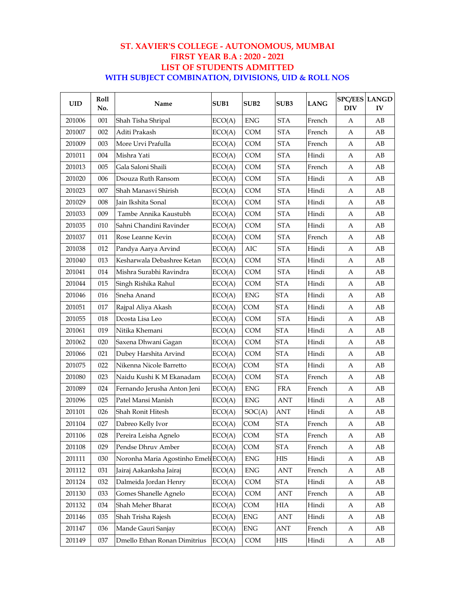#### **ST. XAVIER'S COLLEGE - AUTONOMOUS, MUMBAI FIRST YEAR B.A : 2020 - 2021 LIST OF STUDENTS ADMITTED WITH SUBJECT COMBINATION, DIVISIONS, UID & ROLL NOS**

| <b>UID</b> | <b>Roll</b><br>No. | Name                                 | SUB1   | SUB2        | SUB <sub>3</sub>     | <b>LANG</b> | <b>SPC/EES LANGD</b><br><b>DIV</b> | IV |
|------------|--------------------|--------------------------------------|--------|-------------|----------------------|-------------|------------------------------------|----|
| 201006     | 001                | Shah Tisha Shripal                   | ECO(A) | <b>ENG</b>  | <b>STA</b>           | French      | A                                  | AВ |
| 201007     | 002                | Aditi Prakash                        | ECO(A) | <b>COM</b>  | <b>STA</b>           | French      | A                                  | AB |
| 201009     | 003                | More Urvi Prafulla                   | ECO(A) | <b>COM</b>  | <b>STA</b>           | French      | A                                  | AВ |
| 201011     | 004                | Mishra Yati                          | ECO(A) | <b>COM</b>  | <b>STA</b>           | Hindi       | A                                  | AB |
| 201013     | 005                | Gala Saloni Shaili                   | ECO(A) | <b>COM</b>  | <b>STA</b>           | French      | A                                  | AB |
| 201020     | 006                | Dsouza Ruth Ransom                   | ECO(A) | <b>COM</b>  | <b>STA</b>           | Hindi       | A                                  | AB |
| 201023     | 007                | Shah Manasvi Shirish                 | ECO(A) | <b>COM</b>  | <b>STA</b>           | Hindi       | A                                  | AB |
| 201029     | 008                | Jain Ikshita Sonal                   | ECO(A) | <b>COM</b>  | <b>STA</b>           | Hindi       | A                                  | AB |
| 201033     | 009                | Tambe Annika Kaustubh                | ECO(A) | COM         | <b>STA</b>           | Hindi       | A                                  | AB |
| 201035     | 010                | Sahni Chandini Ravinder              | ECO(A) | <b>COM</b>  | <b>STA</b>           | Hindi       | A                                  | AB |
| 201037     | 011                | Rose Leanne Kevin                    | ECO(A) | <b>COM</b>  | <b>STA</b>           | French      | A                                  | AB |
| 201038     | 012                | Pandya Aarya Arvind                  | ECO(A) | AIC         | <b>STA</b>           | Hindi       | A                                  | AB |
| 201040     | 013                | Kesharwala Debashree Ketan           | ECO(A) | COM         | <b>STA</b>           | Hindi       | A                                  | AB |
| 201041     | 014                | Mishra Surabhi Ravindra              | ECO(A) | <b>COM</b>  | <b>STA</b>           | Hindi       | A                                  | AB |
| 201044     | 015                | Singh Rishika Rahul                  | ECO(A) | <b>COM</b>  | <b>STA</b>           | Hindi       | A                                  | AB |
| 201046     | 016                | Sneha Anand                          | ECO(A) | <b>ENG</b>  | <b>STA</b>           | Hindi       | A                                  | AB |
| 201051     | 017                | Rajpal Aliya Akash                   | ECO(A) | COM         | <b>STA</b>           | Hindi       | A                                  | AВ |
| 201055     | 018                | Dcosta Lisa Leo                      | ECO(A) | <b>COM</b>  | <b>STA</b>           | Hindi       | A                                  | AB |
| 201061     | 019                | Nitika Khemani                       | ECO(A) | <b>COM</b>  | <b>STA</b>           | Hindi       | A                                  | AB |
| 201062     | 020                | Saxena Dhwani Gagan                  | ECO(A) | <b>COM</b>  | <b>STA</b>           | Hindi       | A                                  | AB |
| 201066     | 021                | Dubey Harshita Arvind                | ECO(A) | COM         | <b>STA</b>           | Hindi       | A                                  | AВ |
| 201075     | 022                | Nikenna Nicole Barretto              | ECO(A) | COM         | <b>STA</b>           | Hindi       | A                                  | AB |
| 201080     | 023                | Naidu Kushi K M Ekanadam             | ECO(A) | <b>COM</b>  | <b>STA</b>           | French      | A                                  | AB |
| 201089     | 024                | Fernando Jerusha Anton Jeni          | ECO(A) | <b>ENG</b>  | <b>FRA</b>           | French      | A                                  | AB |
| 201096     | 025                | Patel Mansi Manish                   | ECO(A) | <b>ENG</b>  | ANT                  | Hindi       | А                                  | AB |
| 201101     | 026                | Shah Ronit Hitesh                    | ECO(A) | SOC(A)      | ANT                  | Hindi       | А                                  | AB |
| 201104     | 027                | Dabreo Kelly Ivor                    | ECO(A) | COM         | <b>STA</b>           | French      | А                                  | AB |
| 201106     | 028                | Pereira Leisha Agnelo                | ECO(A) | COM         | <b>STA</b>           | French      | A                                  | АB |
| 201108     | 029                | Pendse Dhruv Amber                   | ECO(A) | COM         | <b>STA</b>           | French      | A                                  | AB |
| 201111     | 030                | Noronha Maria Agostinho Emeli ECO(A) |        | ${\rm ENG}$ | HIS                  | Hindi       | A                                  | AВ |
| 201112     | 031                | Jairaj Aakanksha Jairaj              | ECO(A) | ${\rm ENG}$ | $\operatorname{ANT}$ | French      | A                                  | АB |
| 201124     | 032                | Dalmeida Jordan Henry                | ECO(A) | COM         | <b>STA</b>           | Hindi       | A                                  | AB |
| 201130     | 033                | Gomes Shanelle Agnelo                | ECO(A) | COM         | ANT                  | French      | A                                  | АB |
| 201132     | 034                | Shah Meher Bharat                    | ECO(A) | COM         | HIA                  | Hindi       | A                                  | AВ |
| 201146     | 035                | Shah Trisha Rajesh                   | ECO(A) | ENG         | ANT                  | Hindi       | A                                  | АB |
| 201147     | 036                | Mande Gauri Sanjay                   | ECO(A) | ENG         | ANT                  | French      | A                                  | AB |
| 201149     | 037                | Dmello Ethan Ronan Dimitrius         | ECO(A) | COM         | HIS                  | Hindi       | A                                  | AB |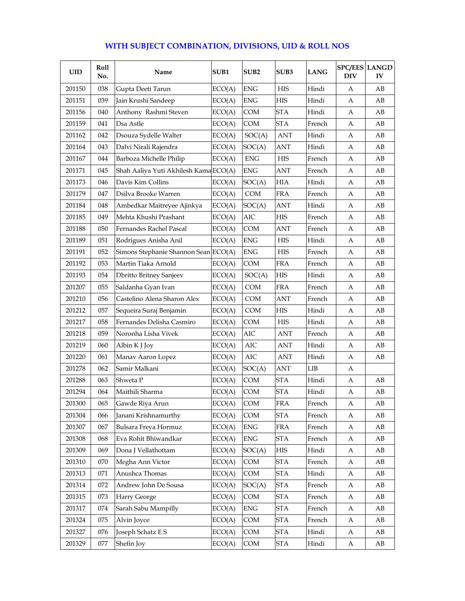| WITH SUBJECT COMBINATION, DIVISIONS, UID & ROLL NOS |  |
|-----------------------------------------------------|--|
|-----------------------------------------------------|--|

| <b>UID</b> | Roll<br>No. | Name                                  | SUB1   | SUB <sub>2</sub> | SUB <sub>3</sub> | <b>LANG</b> | DIV | <b>SPC/EES LANGD</b><br>IV |
|------------|-------------|---------------------------------------|--------|------------------|------------------|-------------|-----|----------------------------|
| 201150     | 038         | Gupta Deeti Tarun                     | ECO(A) | <b>ENG</b>       | HIS              | Hindi       | A   | AВ                         |
| 201151     | 039         | Jain Krushi Sandeep                   | ECO(A) | <b>ENG</b>       | <b>HIS</b>       | Hindi       | A   | AB                         |
| 201156     | 040         | Anthony Rashmi Steven                 | ECO(A) | <b>COM</b>       | <b>STA</b>       | Hindi       | A   | AВ                         |
| 201159     | 041         | Dsa Astle                             | ECO(A) | COM              | <b>STA</b>       | French      | A   | AB                         |
| 201162     | 042         | Dsouza Sydelle Walter                 | ECO(A) | SOC(A)           | <b>ANT</b>       | Hindi       | А   | AB                         |
| 201164     | 043         | Dalvi Nirali Rajendra                 | ECO(A) | SOC(A)           | ANT              | Hindi       | A   | AB                         |
| 201167     | 044         | Barboza Michelle Philip               | ECO(A) | <b>ENG</b>       | <b>HIS</b>       | French      | A   | AB                         |
| 201171     | 045         | Shah Aaliya Yuti Akhilesh Kama ECO(A) |        | <b>ENG</b>       | ANT              | French      | A   | AВ                         |
| 201173     | 046         | Davis Kim Collins                     | ECO(A) | SOC(A)           | <b>HIA</b>       | Hindi       | A   | AB                         |
| 201179     | 047         | Dsilva Brooke Warren                  | ECO(A) | <b>COM</b>       | <b>FRA</b>       | French      | A   | AB                         |
| 201184     | 048         | Ambedkar Maitreyee Ajinkya            | ECO(A) | SOC(A)           | <b>ANT</b>       | Hindi       | А   | AB                         |
| 201185     | 049         | Mehta Khushi Prashant                 | ECO(A) | AIC              | <b>HIS</b>       | French      | А   | AB                         |
| 201188     | 050         | Fernandes Rachel Pascal               | ECO(A) | COM              | ANT              | French      | A   | AB                         |
| 201189     | 051         | Rodrigues Anisha Anil                 | ECO(A) | <b>ENG</b>       | <b>HIS</b>       | Hindi       | A   | AB                         |
| 201191     | 052         | Simons Stephanie Shannon Sean ECO(A)  |        | <b>ENG</b>       | HIS              | French      | A   | AB                         |
| 201192     | 053         | Martin Tiaka Arnold                   | ECO(A) | <b>COM</b>       | <b>FRA</b>       | French      | А   | AB                         |
| 201193     | 054         | <b>Dbritto Britney Sanjeev</b>        | ECO(A) | SOC(A)           | HIS              | Hindi       | A   | AВ                         |
| 201207     | 055         | Saldanha Gyan Ivan                    | ECO(A) | <b>COM</b>       | <b>FRA</b>       | French      | A   | AB                         |
| 201210     | 056         | Castelino Alena Sharon Alex           | ECO(A) | <b>COM</b>       | ANT              | French      | А   | AB                         |
| 201212     | 057         | Sequeira Suraj Benjamin               | ECO(A) | <b>COM</b>       | <b>HIS</b>       | Hindi       | А   | AB                         |
| 201217     | 058         | Fernandes Delisha Casmiro             | ECO(A) | COM              | <b>HIS</b>       | Hindi       | А   | AB                         |
| 201218     | 059         | Noronha Lisha Vivek                   | ECO(A) | AIC              | ANT              | French      | A   | AB                         |
| 201219     | 060         | Albin K J Joy                         | ECO(A) | AIC              | <b>ANT</b>       | Hindi       | A   | AB                         |
| 201220     | 061         | Manav Aaron Lopez                     | ECO(A) | AIC              | <b>ANT</b>       | Hindi       | А   | AВ                         |
| 201278     | 062         | Samir Malkani                         | ECO(A) | SOC(A)           | <b>ANT</b>       | LIB         | А   |                            |
| 201288     | 063         | Shweta P                              | ECO(A) | <b>COM</b>       | <b>STA</b>       | Hindi       | A   | AВ                         |
| 201294     | 064         | Maithili Sharma                       | ECO(A) | <b>COM</b>       | <b>STA</b>       | Hindi       | А   | AB                         |
| 201300     | 065         | Gawde Riya Arun                       | ECO(A) | COM              | <b>FRA</b>       | French      | A   | AB                         |
| 201304     | 066         | Janani Krishnamurthy                  | ECO(A) | COM              | <b>STA</b>       | French      | A   | AB                         |
| 201307     | 067         | Bulsara Freya Hormuz                  | ECO(A) | <b>ENG</b>       | <b>FRA</b>       | French      | A   | $\rm AB$                   |
| 201308     | 068         | Eva Rohit Bhiwandkar                  | ECO(A) | ${\rm ENG}$      | <b>STA</b>       | French      | А   | AB                         |
| 201309     | 069         | Dona J Vellathottam                   | ECO(A) | SOC(A)           | HIS              | Hindi       | A   | AB                         |
| 201310     | 070         | Megha Ann Victor                      | ECO(A) | COM              | <b>STA</b>       | French      | A   | AВ                         |
| 201313     | 071         | Anushca Thomas                        | ECO(A) | COM              | <b>STA</b>       | Hindi       | A   | AB                         |
| 201314     | 072         | Andrew John De Sousa                  | ECO(A) | SOC(A)           | <b>STA</b>       | French      | A   | AВ                         |
| 201315     | 073         | Harry George                          | ECO(A) | COM              | <b>STA</b>       | French      | A   | AB                         |
| 201317     | 074         | Sarah Sabu Mampilly                   | ECO(A) | ${\rm ENG}$      | <b>STA</b>       | French      | A   | AВ                         |
| 201324     | 075         | Alvin Joyce                           | ECO(A) | COM              | <b>STA</b>       | French      | A   | AВ                         |
| 201327     | 076         | Joseph Schatz E S                     | ECO(A) | COM              | <b>STA</b>       | Hindi       | A   | AB                         |
| 201329     | $077\,$     | Shefin Joy                            | ECO(A) | COM              | <b>STA</b>       | Hindi       | A   | AB                         |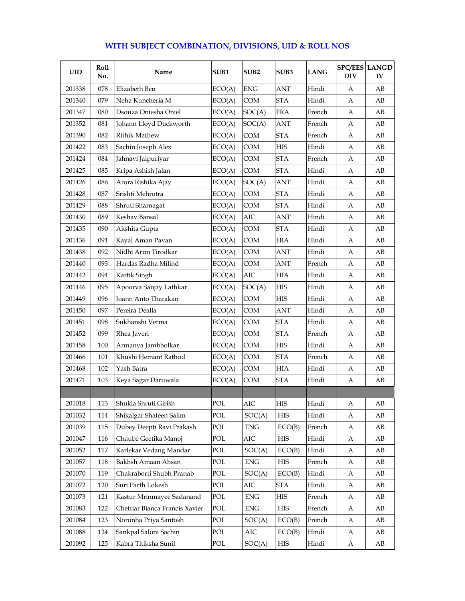| UID    | Roll<br>No. | Name                           | SUB1   | SUB <sub>2</sub> | SUB <sub>3</sub> | <b>LANG</b> | <b>SPC/EES LANGD</b><br><b>DIV</b> | IV |
|--------|-------------|--------------------------------|--------|------------------|------------------|-------------|------------------------------------|----|
| 201338 | 078         | Elizabeth Ben                  | ECO(A) | <b>ENG</b>       | <b>ANT</b>       | Hindi       | A                                  | AВ |
| 201340 | 079         | Neha Kuncheria M               | ECO(A) | <b>COM</b>       | <b>STA</b>       | Hindi       | А                                  | AВ |
| 201347 | 080         | Dsouza Oniesha Oniel           | ECO(A) | SOC(A)           | <b>FRA</b>       | French      | A                                  | AВ |
| 201352 | 081         | Johann Lloyd Duckworth         | ECO(A) | SOC(A)           | <b>ANT</b>       | French      | A                                  | AB |
| 201390 | 082         | <b>Rithik Mathew</b>           | ECO(A) | COM              | <b>STA</b>       | French      | А                                  | AВ |
| 201422 | 083         | Sachin Joseph Alex             | ECO(A) | <b>COM</b>       | <b>HIS</b>       | Hindi       | А                                  | AB |
| 201424 | 084         | Jahnavi Jaipuriyar             | ECO(A) | COM              | <b>STA</b>       | French      | А                                  | AВ |
| 201425 | 085         | Kripa Ashish Jalan             | ECO(A) | <b>COM</b>       | <b>STA</b>       | Hindi       | А                                  | AВ |
| 201426 | 086         | Arora Rishika Ajay             | ECO(A) | SOC(A)           | <b>ANT</b>       | Hindi       | А                                  | AВ |
| 201428 | 087         | Srishti Mehrotra               | ECO(A) | <b>COM</b>       | <b>STA</b>       | Hindi       | A                                  | AВ |
| 201429 | 088         | Shruti Sharnagat               | ECO(A) | <b>COM</b>       | <b>STA</b>       | Hindi       | А                                  | AB |
| 201430 | 089         | Keshav Bansal                  | ECO(A) | AIC              | <b>ANT</b>       | Hindi       | A                                  | AВ |
| 201435 | 090         | Akshita Gupta                  | ECO(A) | COM              | <b>STA</b>       | Hindi       | A                                  | AB |
| 201436 | 091         | Kayal Aman Pavan               | ECO(A) | <b>COM</b>       | <b>HIA</b>       | Hindi       | А                                  | AB |
| 201438 | 092         | Nidhi Arun Tirodkar            | ECO(A) | COM              | <b>ANT</b>       | Hindi       | А                                  | AВ |
| 201440 | 093         | Hardas Radha Milind            | ECO(A) | COM              | <b>ANT</b>       | French      | А                                  | AВ |
| 201442 | 094         | Kartik Singh                   | ECO(A) | AIC              | <b>HIA</b>       | Hindi       | А                                  | AВ |
| 201446 | 095         | Apoorva Sanjay Lathkar         | ECO(A) | SOC(A)           | <b>HIS</b>       | Hindi       | А                                  | AB |
| 201449 | 096         | Joann Anto Tharakan            | ECO(A) | COM              | <b>HIS</b>       | Hindi       | А                                  | AВ |
| 201450 | 097         | Pereira Dealla                 | ECO(A) | <b>COM</b>       | <b>ANT</b>       | Hindi       | А                                  | AB |
| 201451 | 098         | Sukhanshi Verma                | ECO(A) | <b>COM</b>       | <b>STA</b>       | Hindi       | A                                  | AB |
| 201452 | 099         | Rhea Javeri                    | ECO(A) | <b>COM</b>       | <b>STA</b>       | French      | A                                  | AВ |
| 201458 | 100         | Armanya Jambholkar             | ECO(A) | <b>COM</b>       | <b>HIS</b>       | Hindi       | А                                  | AВ |
| 201466 | 101         | Khushi Hemant Rathod           | ECO(A) | <b>COM</b>       | <b>STA</b>       | French      | А                                  | AB |
| 201468 | 102         | Yash Batra                     | ECO(A) | COM              | HІА              | Hindi       | А                                  | AВ |
| 201471 | 103         | Keya Sagar Daruwala            | ECO(A) | <b>COM</b>       | <b>STA</b>       | Hindi       | А                                  | AВ |
|        |             |                                |        |                  |                  |             |                                    |    |
| 201018 | 113         | Shukla Shruti Girish           | POL    | AIC              | <b>HIS</b>       | Hindi       | A                                  | AB |
| 201032 | 114         | Shikalgar Shafeen Salim        | POL    | SOC(A)           | <b>HIS</b>       | Hindi       | A                                  | AВ |
| 201039 | 115         | Dubey Deepti Ravi Prakash      | POL    | ${\rm ENG}$      | ECO(B)           | French      | А                                  | AВ |
| 201047 | 116         | Chaube Geetika Manoj           | POL    | AIC              | HIS              | Hindi       | А                                  | AB |
| 201052 | 117         | Karlekar Vedang Mandar         | POL    | SOC(A)           | ECO(B)           | Hindi       | А                                  | AВ |
| 201057 | 118         | Bakhsh Amaan Ahsan             | POL    | ${\rm ENG}$      | HIS              | French      | А                                  | AB |
| 201070 | 119         | Chakraborti Shubh Pranab       | POL    | SOC(A)           | ECO(B)           | Hindi       | А                                  | AВ |
| 201072 | 120         | Suri Parth Lokesh              | POL    | AIC              | <b>STA</b>       | Hindi       | А                                  | AВ |
| 201073 | 121         | Kastur Mrinmayee Sadanand      | POL    | ${\rm ENG}$      | HIS              | French      | А                                  | AВ |
| 201083 | 122         | Chettiar Bianca Francis Xavier | POL    | ENG              | HIS              | French      | А                                  | AВ |
| 201084 | 123         | Noronha Priya Santosh          | POL    | SOC(A)           | ECO(B)           | French      | A                                  | AB |
| 201088 | 124         | Sankpal Saloni Sachin          | POL    | AIC              | ECO(B)           | Hindi       | A                                  | AВ |
| 201092 | 125         | Kabra Titiksha Sunil           | POL    | SOC(A)           | <b>HIS</b>       | Hindi       | А                                  | AВ |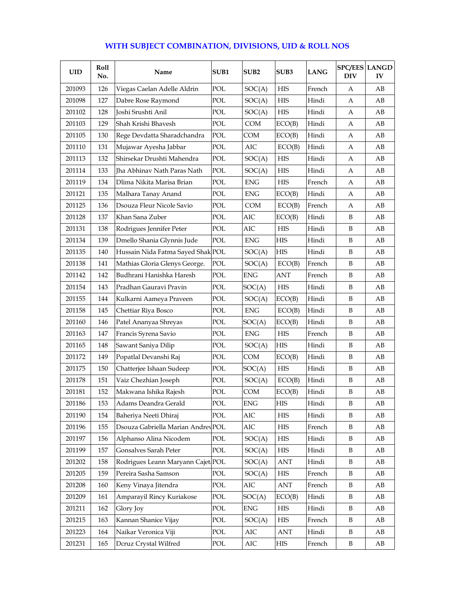### $UID \parallel \frac{Roll}{No.}$ **No. Name SUB1 SUB2 SUB3 LANG SPC/EES DIV SPC/EES LANGD IV** 201093 126 Viegas Caelan Adelle Aldrin POL SOC(A) HIS French A AB 201098 127 Dabre Rose Raymond POL SOC(A) HIS Hindi A AB 201102 | 128 |Joshi Srushti Anil | POL | SOC(A) | HIS | Hindi | A | AB 201103 | 129 | Shah Krishi Bhavesh | POL | COM | ECO(B) | Hindi | A | AB 201105 130 Rege Devdatta Sharadchandra POL COM ECO(B) Hindi A AB 201110 | 131 |Mujawar Ayesha Jabbar | POL | AIC | ECO(B) | Hindi | A | AB 201113 | 132 | Shirsekar Drushti Mahendra | POL | SOC(A) | HIS | Hindi | A | AB  $201114$  133 |Tha Abhinav Nath Paras Nath POL  $|SOC(A)|$  HIS |Hindi | A | AB 201119 | 134 | Dlima Nikita Marisa Brian | POL | ENG | HIS | French | A | AB 201121 | 135 | Malhara Tanay Anand | POL | ENG | ECO(B) | Hindi | A | AB 201125 136 Dsouza Fleur Nicole Savio POL COM ECO(B) French A AB 201128 137 Khan Sana Zuber POL AIC ECO(B) Hindi B AB 201131 | 138 | Rodrigues Jennifer Peter | POL | AIC | HIS | Hindi | B | AB 201134 | 139 | Dmello Shania Glynnis Jude | POL | ENG | HIS | Hindi | B | AB 201135 | 140 | Hussain Nida Fatma Sayed Shak POL | SOC(A) | HIS | Hindi | B | AB 201138 141 Mathias Gloria Glenys George. POL SOC(A) ECO(B) French B AB 201142 | 142 | Budhrani Hanishka Haresh | POL | ENG | ANT | French | B | AB 201154 143 Pradhan Gauravi Pravin POL SOC(A) HIS Hindi B AB 201155 | 144 | Kulkarni Aameya Praveen | POL | SOC(A) | ECO(B) | Hindi | B | AB 201158 145 Chettiar Riya Bosco POL ENG ECO(B) Hindi B AB 201160 146 Patel Ananyaa Shreyas POL SOC(A) ECO(B) Hindi B AB 201163 147 Francis Syrena Savio POL ENG HIS French B AB 201165 | 148 | Sawant Saniya Dilip | POL | SOC(A) | HIS | Hindi | B | AB 201172 | 149 | Popatlal Devanshi Raj | POL COM | ECO(B) | Hindi | B | AB 201175 150 Chatterjee Ishaan Sudeep POL SOC(A) HIS Hindi B AB 201178 | 151 | Vaiz Chezhian Joseph | POL | SOC(A) | ECO(B) | Hindi | B | AB 201181 | 152 | Makwana Ishika Rajesh | POL | COM | ECO(B) | Hindi | B | AB 201186 153 Adams Deandra Gerald POL ENG HIS Hindi B AB 201190 154 Baheriya Neeti Dhiraj POL AIC HIS Hindi B AB 201196 | 155 | Dsouza Gabriella Marian Andrey POL | AIC | HIS | French | B | AB 201197 | 156 | Alphanso Alina Nicodem | POL | SOC(A) | HIS | Hindi | B | AB 201199 | 157 | Gonsalves Sarah Peter | POL | SOC(A) | HIS | Hindi | B | AB 201202 | 158 | Rodrigues Leann Maryann Cajet | POL | SOC(A) | ANT | Hindi | B | AB 201205 | 159 | Pereira Sasha Samson | POL | SOC(A) | HIS | French | B | AB 201208 160 Keny Vinaya Jitendra POL AIC ANT French B AB 201209 | 161 |Amparayil Rincy Kuriakose | POL | SOC(A) | ECO(B) | Hindi | B | AB 201211 162 Glory Joy POL ENG HIS Hindi B AB 201215 | 163 | Kannan Shanice Vijay | POL | SOC(A) | HIS | French | B | AB 201223 164 Naikar Veronica Viji POL AIC ANT Hindi B AB 201231 | 165 | Dcruz Crystal Wilfred | POL | AIC | HIS | French | B | AB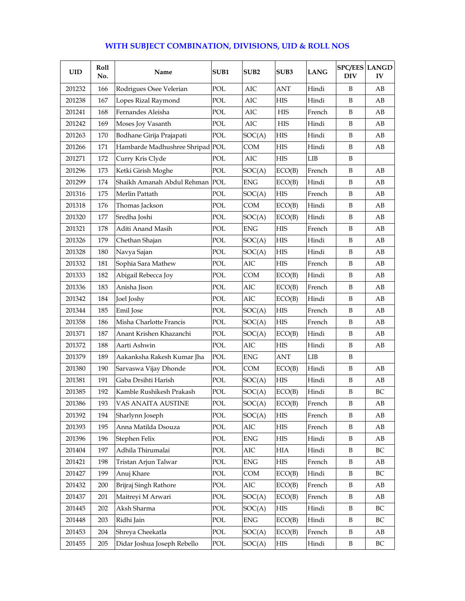| <b>UID</b> | <b>Roll</b><br>No. | Name                            | SUB <sub>1</sub> | SUB <sub>2</sub> | SUB3       | <b>LANG</b> | <b>DIV</b> | <b>SPC/EES LANGD</b><br>IV |
|------------|--------------------|---------------------------------|------------------|------------------|------------|-------------|------------|----------------------------|
| 201232     | 166                | Rodrigues Osee Velerian         | POL              | AIC              | ANT        | Hindi       | B          | AВ                         |
| 201238     | 167                | Lopes Rizal Raymond             | POL              | AIC              | <b>HIS</b> | Hindi       | B          | AB                         |
| 201241     | 168                | Fernandes Aleisha               | POL              | AIC              | HIS        | French      | B          | AВ                         |
| 201242     | 169                | Moses Joy Vasanth               | POL              | AIC              | <b>HIS</b> | Hindi       | B          | AB                         |
| 201263     | 170                | Bodhane Girija Prajapati        | POL              | SOC(A)           | <b>HIS</b> | Hindi       | B          | AB                         |
| 201266     | 171                | Hambarde Madhushree Shripad POL |                  | COM              | <b>HIS</b> | Hindi       | B          | AB                         |
| 201271     | 172                | Curry Kris Clyde                | POL              | AIC              | HIS        | LIB         | B          |                            |
| 201296     | 173                | Ketki Girish Moghe              | POL              | SOC(A)           | ECO(B)     | French      | B          | AВ                         |
| 201299     | 174                | Shaikh Amanah Abdul Rehman POL  |                  | <b>ENG</b>       | ECO(B)     | Hindi       | B          | AB                         |
| 201316     | 175                | Merlin Pattath                  | POL              | SOC(A)           | <b>HIS</b> | French      | B          | AB                         |
| 201318     | 176                | Thomas Jackson                  | POL              | COM              | ECO(B)     | Hindi       | B          | AB                         |
| 201320     | 177                | Sredha Joshi                    | POL              | SOC(A)           | ECO(B)     | Hindi       | B          | AВ                         |
| 201321     | 178                | Aditi Anand Masih               | POL              | <b>ENG</b>       | <b>HIS</b> | French      | B          | AB                         |
| 201326     | 179                | Chethan Shajan                  | POL              | SOC(A)           | <b>HIS</b> | Hindi       | B          | AB                         |
| 201328     | 180                | Navya Sajan                     | POL              | SOC(A)           | <b>HIS</b> | Hindi       | B          | AB                         |
| 201332     | 181                | Sophia Sara Mathew              | POL              | AIC              | <b>HIS</b> | French      | B          | AB                         |
| 201333     | 182                | Abigail Rebecca Joy             | POL              | COM              | ECO(B)     | Hindi       | B          | AB                         |
| 201336     | 183                | Anisha Jison                    | POL              | AIC              | ECO(B)     | French      | B          | AB                         |
| 201342     | 184                | Joel Joshy                      | POL              | AIC              | ECO(B)     | Hindi       | B          | AВ                         |
| 201344     | 185                | Emil Jose                       | POL              | SOC(A)           | <b>HIS</b> | French      | B          | AB                         |
| 201358     | 186                | Misha Charlotte Francis         | POL              | SOC(A)           | <b>HIS</b> | French      | B          | AВ                         |
| 201371     | 187                | Anant Krishen Khazanchi         | POL              | SOC(A)           | ECO(B)     | Hindi       | B          | AВ                         |
| 201372     | 188                | Aarti Ashwin                    | POL              | AIC              | <b>HIS</b> | Hindi       | B          | AB                         |
| 201379     | 189                | Aakanksha Rakesh Kumar Jha      | POL              | ENG              | ANT        | <b>LIB</b>  | B          |                            |
| 201380     | 190                | Sarvaswa Vijay Dhonde           | POL              | COM              | ECO(B)     | Hindi       | B          | AВ                         |
| 201381     | 191                | Gaba Drsihti Harish             | POL              | SOC(A)           | <b>HIS</b> | Hindi       | B          | AB                         |
| 201385     | 192                | Kamble Rushikesh Prakash        | POL              | SOC(A)           | ECO(B)     | Hindi       | B          | BC                         |
| 201386     | 193                | VAS ANAITA AUSTINE              | POL              | SOC(A)           | ECO(B)     | French      | В          | ΑВ                         |
| 201392     | 194                | Sharlynn Joseph                 | POL              | SOC(A)           | HIS        | French      | B          | AВ                         |
| 201393     | 195                | Anna Matilda Dsouza             | POL              | AIC              | HIS        | French      | B          | AВ                         |
| 201396     | 196                | Stephen Felix                   | POL              | ENG              | HIS        | Hindi       | B          | AB                         |
| 201404     | 197                | Adhila Thirumalai               | POL              | AIC              | НIА        | Hindi       | B          | BC                         |
| 201421     | 198                | Tristan Arjun Talwar            | POL              | ENG              | HIS        | French      | B          | AВ                         |
| 201427     | 199                | Anuj Khare                      | POL              | COM              | ECO(B)     | Hindi       | B          | ВC                         |
| 201432     | 200                | Brijraj Singh Rathore           | POL              | AIC              | ECO(B)     | French      | B          | AВ                         |
| 201437     | 201                | Maitreyi M Arwari               | POL              | SOC(A)           | ECO(B)     | French      | B          | AB                         |
| 201445     | 202                | Aksh Sharma                     | POL              | SOC(A)           | HIS        | Hindi       | B          | BC                         |
| 201448     | 203                | Ridhi Jain                      | POL              | <b>ENG</b>       | ECO(B)     | Hindi       | B          | BC                         |
| 201453     | 204                | Shreya Cheekatla                | POL              | SOC(A)           | ECO(B)     | French      | B          | AВ                         |
| 201455     | 205                | Didar Joshua Joseph Rebello     | POL              | SOC(A)           | HIS        | Hindi       | B          | BC                         |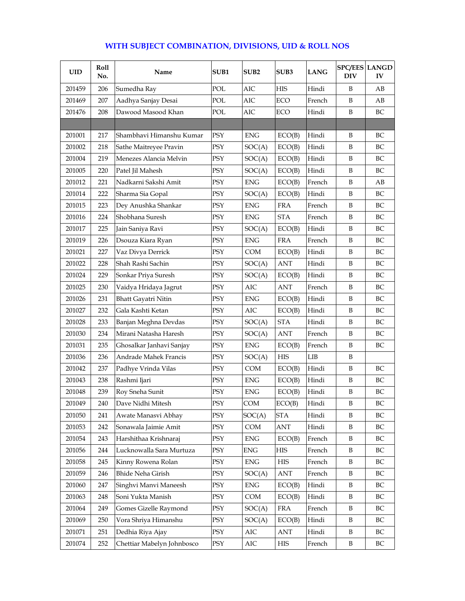| WITH SUBJECT COMBINATION, DIVISIONS, UID & ROLL NOS |  |
|-----------------------------------------------------|--|
|-----------------------------------------------------|--|

| <b>UID</b> | <b>Roll</b><br>No. | Name                       | SUB1 | SUB <sub>2</sub> | SUB3       | <b>LANG</b> | <b>SPC/EES LANGD</b><br><b>DIV</b> | IV |
|------------|--------------------|----------------------------|------|------------------|------------|-------------|------------------------------------|----|
| 201459     | 206                | Sumedha Ray                | POL  | AIC              | HIS        | Hindi       | B                                  | AВ |
| 201469     | 207                | Aadhya Sanjay Desai        | POL  | AIC              | ECO        | French      | B                                  | AB |
| 201476     | 208                | Dawood Masood Khan         | POL  | AIC              | ECO        | Hindi       | B                                  | BС |
|            |                    |                            |      |                  |            |             |                                    |    |
| 201001     | 217                | Shambhavi Himanshu Kumar   | PSY  | <b>ENG</b>       | ECO(B)     | Hindi       | B                                  | BC |
| 201002     | 218                | Sathe Maitreyee Pravin     | PSY  | SOC(A)           | ECO(B)     | Hindi       | B                                  | BC |
| 201004     | 219                | Menezes Alancia Melvin     | PSY  | SOC(A)           | ECO(B)     | Hindi       | B                                  | BC |
| 201005     | 220                | Patel Jil Mahesh           | PSY  | SOC(A)           | ECO(B)     | Hindi       | B                                  | BC |
| 201012     | 221                | Nadkarni Sakshi Amit       | PSY  | <b>ENG</b>       | ECO(B)     | French      | B                                  | AB |
| 201014     | 222                | Sharma Sia Gopal           | PSY  | SOC(A)           | ECO(B)     | Hindi       | B                                  | BC |
| 201015     | 223                | Dey Anushka Shankar        | PSY  | <b>ENG</b>       | <b>FRA</b> | French      | B                                  | BC |
| 201016     | 224                | Shobhana Suresh            | PSY  | ENG              | <b>STA</b> | French      | B                                  | BC |
| 201017     | 225                | Jain Saniya Ravi           | PSY  | SOC(A)           | ECO(B)     | Hindi       | B                                  | BC |
| 201019     | 226                | Dsouza Kiara Ryan          | PSY  | <b>ENG</b>       | FRA        | French      | B                                  | BC |
| 201021     | 227                | Vaz Divya Derrick          | PSY  | <b>COM</b>       | ECO(B)     | Hindi       | B                                  | BC |
| 201022     | 228                | Shah Rashi Sachin          | PSY  | SOC(A)           | <b>ANT</b> | Hindi       | B                                  | BC |
| 201024     | 229                | Sonkar Priya Suresh        | PSY  | SOC(A)           | ECO(B)     | Hindi       | B                                  | BC |
| 201025     | 230                | Vaidya Hridaya Jagrut      | PSY  | AIC              | ANT        | French      | B                                  | BC |
| 201026     | 231                | <b>Bhatt Gayatri Nitin</b> | PSY  | ENG              | ECO(B)     | Hindi       | B                                  | BC |
| 201027     | 232                | Gala Kashti Ketan          | PSY  | AIC              | ECO(B)     | Hindi       | B                                  | BC |
| 201028     | 233                | Banjan Meghna Devdas       | PSY  | SOC(A)           | <b>STA</b> | Hindi       | B                                  | BC |
| 201030     | 234                | Mirani Natasha Haresh      | PSY  | SOC(A)           | ANT        | French      | B                                  | BC |
| 201031     | 235                | Ghosalkar Janhavi Sanjay   | PSY  | <b>ENG</b>       | ECO(B)     | French      | B                                  | BC |
| 201036     | 236                | Andrade Mahek Francis      | PSY  | SOC(A)           | <b>HIS</b> | LIB         | B                                  |    |
| 201042     | 237                | Padhye Vrinda Vilas        | PSY  | <b>COM</b>       | ECO(B)     | Hindi       | B                                  | BC |
| 201043     | 238                | Rashmi Ijari               | PSY  | <b>ENG</b>       | ECO(B)     | Hindi       | B                                  | BC |
| 201048     | 239                | Roy Sneha Sunit            | PSY  | <b>ENG</b>       | ECO(B)     | Hindi       | B                                  | BC |
| 201049     | 240                | Dave Nidhi Mitesh          | PSY  | COM              | ECO(B)     | Hindi       | В                                  | BС |
| 201050     | 241                | Awate Manasvi Abhay        | PSY  | SOC(A)           | STA        | Hindi       | B                                  | BC |
| 201053     | 242                | Sonawala Jaimie Amit       | PSY  | COM              | ANT        | Hindi       | B                                  | ВC |
| 201054     | 243                | Harshithaa Krishnaraj      | PSY  | ENG              | ECO(B)     | French      | B                                  | BC |
| 201056     | 244                | Lucknowalla Sara Murtuza   | PSY  | ${\rm ENG}$      | HIS        | French      | B                                  | BC |
| 201058     | 245                | Kinny Rowena Rolan         | PSY  | ${\rm ENG}$      | HIS        | French      | B                                  | BC |
| 201059     | 246                | <b>Bhide Neha Girish</b>   | PSY  | SOC(A)           | ANT        | French      | B                                  | ВC |
| 201060     | 247                | Singhvi Manvi Maneesh      | PSY  | ENG              | ECO(B)     | Hindi       | B                                  | BC |
| 201063     | 248                | Soni Yukta Manish          | PSY  | COM              | ECO(B)     | Hindi       | B                                  | BC |
| 201064     | 249                | Gomes Gizelle Raymond      | PSY  | SOC(A)           | FRA        | French      | B                                  | BC |
| 201069     | 250                | Vora Shriya Himanshu       | PSY  | SOC(A)           | ECO(B)     | Hindi       | B                                  | BC |
| 201071     | 251                | Dedhia Riya Ajay           | PSY  | AIC              | ANT        | Hindi       | B                                  | BC |
| 201074     | 252                | Chettiar Mabelyn Johnbosco | PSY  | AIC              | HIS        | French      | B                                  | BC |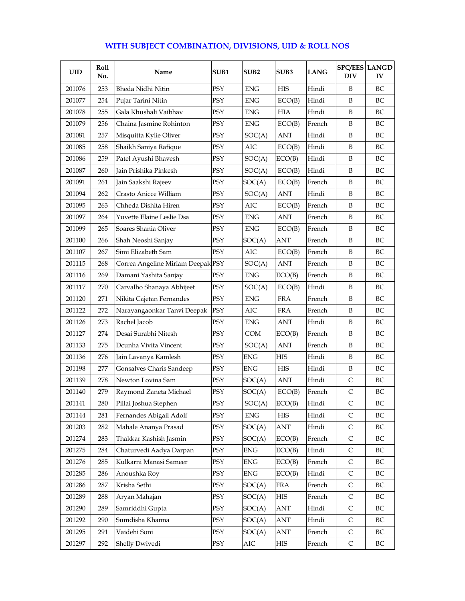| <b>UID</b> | Roll<br>No. | Name                              | SUB1       | SUB <sub>2</sub> | SUB <sub>3</sub> | <b>LANG</b> | <b>SPC/EES LANGD</b><br><b>DIV</b> | IV |
|------------|-------------|-----------------------------------|------------|------------------|------------------|-------------|------------------------------------|----|
| 201076     | 253         | Bheda Nidhi Nitin                 | PSY        | <b>ENG</b>       | <b>HIS</b>       | Hindi       | B                                  | BC |
| 201077     | 254         | Pujar Tarini Nitin                | PSY        | <b>ENG</b>       | ECO(B)           | Hindi       | B                                  | BC |
| 201078     | 255         | Gala Khushali Vaibhav             | PSY        | <b>ENG</b>       | <b>HIA</b>       | Hindi       | B                                  | BC |
| 201079     | 256         | Chaina Jasmine Rohinton           | PSY        | ${\rm ENG}$      | ECO(B)           | French      | B                                  | BC |
| 201081     | 257         | Misquitta Kylie Oliver            | PSY        | SOC(A)           | ANT              | Hindi       | B                                  | BC |
| 201085     | 258         | Shaikh Saniya Rafique             | PSY        | AIC              | ECO(B)           | Hindi       | B                                  | BC |
| 201086     | 259         | Patel Ayushi Bhavesh              | PSY        | SOC(A)           | ECO(B)           | Hindi       | B                                  | BC |
| 201087     | 260         | Jain Prishika Pinkesh             | PSY        | SOC(A)           | ECO(B)           | Hindi       | B                                  | BС |
| 201091     | 261         | Jain Saakshi Rajeev               | PSY        | SOC(A)           | ECO(B)           | French      | B                                  | BC |
| 201094     | 262         | Crasto Anicce William             | PSY        | SOC(A)           | ANT              | Hindi       | B                                  | BC |
| 201095     | 263         | Chheda Dishita Hiren              | PSY        | AIC              | ECO(B)           | French      | B                                  | BC |
| 201097     | 264         | Yuvette Elaine Leslie Dsa         | PSY        | ENG              | ANT              | French      | B                                  | BС |
| 201099     | 265         | Soares Shania Oliver              | PSY        | <b>ENG</b>       | ECO(B)           | French      | B                                  | BC |
| 201100     | 266         | Shah Neoshi Sanjay                | PSY        | SOC(A)           | ANT              | French      | B                                  | BC |
| 201107     | 267         | Simi Elizabeth Sam                | PSY        | AIC              | ECO(B)           | French      | B                                  | BC |
| 201115     | 268         | Correa Angeline Miriam Deepak PSY |            | SOC(A)           | <b>ANT</b>       | French      | B                                  | BC |
| 201116     | 269         | Damani Yashita Sanjay             | PSY        | <b>ENG</b>       | ECO(B)           | French      | B                                  | BC |
| 201117     | 270         | Carvalho Shanaya Abhijeet         | PSY        | SOC(A)           | ECO(B)           | Hindi       | B                                  | BC |
| 201120     | 271         | Nikita Cajetan Fernandes          | PSY        | <b>ENG</b>       | <b>FRA</b>       | French      | B                                  | BС |
| 201122     | 272         | Narayangaonkar Tanvi Deepak       | <b>PSY</b> | AIC              | <b>FRA</b>       | French      | B                                  | BC |
| 201126     | 273         | Rachel Jacob                      | <b>PSY</b> | <b>ENG</b>       | <b>ANT</b>       | Hindi       | B                                  | BC |
| 201127     | 274         | Desai Surabhi Nitesh              | <b>PSY</b> | <b>COM</b>       | ECO(B)           | French      | B                                  | BC |
| 201133     | 275         | Dcunha Vivita Vincent             | PSY        | SOC(A)           | ANT              | French      | B                                  | BC |
| 201136     | 276         | Jain Lavanya Kamlesh              | PSY        | <b>ENG</b>       | <b>HIS</b>       | Hindi       | B                                  | BC |
| 201198     | 277         | Gonsalves Charis Sandeep          | PSY        | <b>ENG</b>       | <b>HIS</b>       | Hindi       | B                                  | BC |
| 201139     | 278         | Newton Lovina Sam                 | PSY        | SOC(A)           | <b>ANT</b>       | Hindi       | C                                  | BC |
| 201140     | 279         | Raymond Zaneta Michael            | PSY        | SOC(A)           | ECO(B)           | French      | $\mathsf{C}$                       | BC |
| 201141     | 280         | Pillai Joshua Stephen             | PSY        | SOC(A)           | ECO(B)           | Hindi       | C                                  | BC |
| 201144     | 281         | Fernandes Abigail Adolf           | PSY        | ${\rm ENG}$      | ${\rm HIS}$      | Hindi       | $\mathsf C$                        | BC |
| 201203     | 282         | Mahale Ananya Prasad              | PSY        | SOC(A)           | ANT              | Hindi       | $\mathsf{C}$                       | BC |
| 201274     | 283         | Thakkar Kashish Jasmin            | PSY        | SOC(A)           | ECO(B)           | French      | $\mathsf C$                        | BC |
| 201275     | 284         | Chaturvedi Aadya Darpan           | PSY        | ENG              | ECO(B)           | Hindi       | C                                  | BC |
| 201276     | 285         | Kulkarni Manasi Sameer            | PSY        | ENG              | ECO(B)           | French      | C                                  | ВC |
| 201285     | 286         | Anoushka Roy                      | PSY        | ${\rm ENG}$      | ECO(B)           | Hindi       | $\mathsf C$                        | BC |
| 201286     | 287         | Krisha Sethi                      | PSY        | SOC(A)           | FRA              | French      | C                                  | BC |
| 201289     | 288         | Aryan Mahajan                     | PSY        | SOC(A)           | HIS              | French      | $\mathsf C$                        | BC |
| 201290     | 289         | Samriddhi Gupta                   | PSY        | SOC(A)           | ANT              | Hindi       | C                                  | BC |
| 201292     | 290         | Sumdisha Khanna                   | PSY        | SOC(A)           | ANT              | Hindi       | $\mathsf C$                        | BC |

201295 291 Vaidehi Soni PSY SOC(A) ANT French C BC 201297 292 Shelly Dwivedi PSY AIC HIS French C BC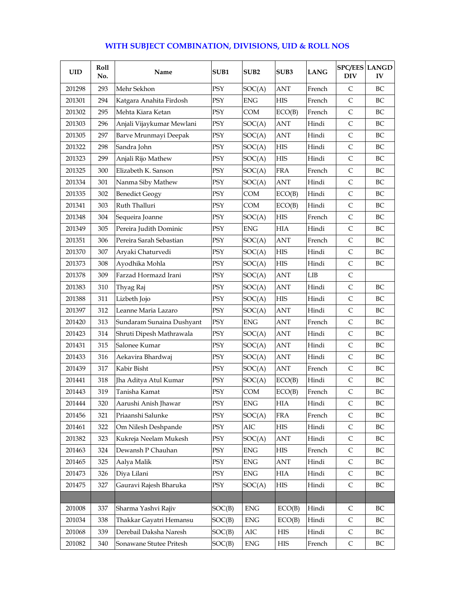| <b>UID</b> | Roll<br>No. | Name                      | SUB1       | SUB <sub>2</sub> | SUB <sub>3</sub> | <b>LANG</b> | <b>SPC/EES LANGD</b><br><b>DIV</b> | IV       |
|------------|-------------|---------------------------|------------|------------------|------------------|-------------|------------------------------------|----------|
| 201298     | 293         | Mehr Sekhon               | PSY        | SOC(A)           | <b>ANT</b>       | French      | $\mathsf{C}$                       | BC       |
| 201301     | 294         | Katgara Anahita Firdosh   | PSY        | <b>ENG</b>       | <b>HIS</b>       | French      | $\mathsf{C}$                       | BC       |
| 201302     | 295         | Mehta Kiara Ketan         | PSY        | COM              | ECO(B)           | French      | $\mathsf{C}$                       | BC       |
| 201303     | 296         | Anjali Vijaykumar Mewlani | PSY        | SOC(A)           | <b>ANT</b>       | Hindi       | $\mathsf{C}$                       | BC       |
| 201305     | 297         | Barve Mrunmayi Deepak     | <b>PSY</b> | SOC(A)           | ANT              | Hindi       | C                                  | BC       |
| 201322     | 298         | Sandra John               | PSY        | SOC(A)           | <b>HIS</b>       | Hindi       | $\mathsf{C}$                       | BC       |
| 201323     | 299         | Anjali Rijo Mathew        | PSY        | SOC(A)           | <b>HIS</b>       | Hindi       | $\mathsf{C}$                       | BC       |
| 201325     | 300         | Elizabeth K. Sanson       | PSY        | SOC(A)           | <b>FRA</b>       | French      | $\mathsf{C}$                       | BС       |
| 201334     | 301         | Nanma Siby Mathew         | PSY        | SOC(A)           | <b>ANT</b>       | Hindi       | $\mathsf{C}$                       | BC       |
| 201335     | 302         | <b>Benedict Geogy</b>     | PSY        | COM              | ECO(B)           | Hindi       | C                                  | BC       |
| 201341     | 303         | Ruth Thalluri             | PSY        | COM              | ECO(B)           | Hindi       | $\mathsf{C}$                       | BC       |
| 201348     | 304         | Sequeira Joanne           | PSY        | SOC(A)           | HIS              | French      | C                                  | BС       |
| 201349     | 305         | Pereira Judith Dominic    | PSY        | <b>ENG</b>       | <b>HIA</b>       | Hindi       | $\mathsf{C}$                       | BC       |
| 201351     | 306         | Pereira Sarah Sebastian   | PSY        | SOC(A)           | ANT              | French      | $\mathsf{C}$                       | BC       |
| 201370     | 307         | Aryaki Chaturvedi         | PSY        | SOC(A)           | <b>HIS</b>       | Hindi       | $\mathsf{C}$                       | BC       |
| 201373     | 308         | Ayodhika Mohla            | PSY        | SOC(A)           | <b>HIS</b>       | Hindi       | $\mathsf{C}$                       | BC       |
| 201378     | 309         | Farzad Hormazd Irani      | PSY        | SOC(A)           | ANT              | LIB         | $\mathsf{C}$                       |          |
| 201383     | 310         | Thyag Raj                 | PSY        | SOC(A)           | <b>ANT</b>       | Hindi       | $\mathsf{C}$                       | BC       |
| 201388     | 311         | Lizbeth Jojo              | PSY        | SOC(A)           | <b>HIS</b>       | Hindi       | C                                  | BС       |
| 201397     | 312         | Leanne Maria Lazaro       | PSY        | SOC(A)           | <b>ANT</b>       | Hindi       | $\mathsf{C}$                       | BC       |
| 201420     | 313         | Sundaram Sunaina Dushyant | <b>PSY</b> | <b>ENG</b>       | ANT              | French      | $\mathsf{C}$                       | BC       |
| 201423     | 314         | Shruti Dipesh Mathrawala  | PSY        | SOC(A)           | ANT              | Hindi       | $\mathsf{C}$                       | BC       |
| 201431     | 315         | Salonee Kumar             | PSY        | SOC(A)           | ANT              | Hindi       | C                                  | BC       |
| 201433     | 316         | Aekavira Bhardwaj         | PSY        | SOC(A)           | ANT              | Hindi       | $\mathsf{C}$                       | BC       |
| 201439     | 317         | Kabir Bisht               | PSY        | SOC(A)           | ANT              | French      | $\mathsf{C}$                       | BC       |
| 201441     | 318         | Jha Aditya Atul Kumar     | PSY        | SOC(A)           | ECO(B)           | Hindi       | C                                  | BC       |
| 201443     | 319         | Tanisha Kamat             | PSY        | COM              | ECO(B)           | French      | $\mathsf{C}$                       | BC       |
| 201444     | 320         | Aarushi Anish Jhawar      | PSY        | <b>ENG</b>       | <b>HIA</b>       | Hindi       | C                                  | BC       |
| 201456     | 321         | Priaanshi Salunke         | PSY        | SOC(A)           | <b>FRA</b>       | French      | $\mathsf C$                        | BC       |
| 201461     | 322         | Om Nilesh Deshpande       | PSY        | AIC              | HIS              | Hindi       | $\mathsf{C}$                       | BC       |
| 201382     | 323         | Kukreja Neelam Mukesh     | PSY        | SOC(A)           | ANT              | Hindi       | $\mathsf C$                        | BC       |
| 201463     | 324         | Dewansh P Chauhan         | PSY        | ${\rm ENG}$      | HIS              | French      | C                                  | $\rm BC$ |
| 201465     | 325         | Aalya Malik               | PSY        | ENG              | ANT              | Hindi       | C                                  | BC       |
| 201473     | 326         | Diya Lilani               | PSY        | ${\rm ENG}$      | HIA              | Hindi       | C                                  | BC       |
| 201475     | 327         | Gauravi Rajesh Bharuka    | PSY        | SOC(A)           | HIS              | Hindi       | C                                  | ВC       |
|            |             |                           |            |                  |                  |             |                                    |          |
| 201008     | 337         | Sharma Yashvi Rajiv       | SOC(B)     | <b>ENG</b>       | ECO(B)           | Hindi       | C                                  | BС       |
| 201034     | 338         | Thakkar Gayatri Hemansu   | SOC(B)     | ${\rm ENG}$      | ECO(B)           | Hindi       | $\mathsf C$                        | BC       |

201068 339 Derebail Daksha Naresh SOC(B) AIC HIS Hindi C BC 201082 340 Sonawane Stutee Pritesh SOC(B) ENG HIS French C BC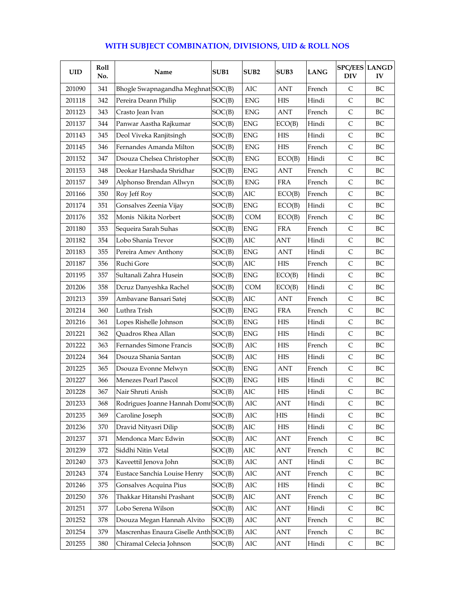| <b>UID</b> | Roll<br>No. | Name                                  | SUB1   | SUB <sub>2</sub> | SUB3       | <b>LANG</b> | <b>SPC/EES LANGD</b><br><b>DIV</b> | ${\bf IV}$ |
|------------|-------------|---------------------------------------|--------|------------------|------------|-------------|------------------------------------|------------|
| 201090     | 341         | Bhogle Swapnagandha Meghnat SOC(B)    |        | AIC              | <b>ANT</b> | French      | C                                  | BС         |
| 201118     | 342         | Pereira Deann Philip                  | SOC(B) | <b>ENG</b>       | <b>HIS</b> | Hindi       | $\mathsf{C}$                       | BC         |
| 201123     | 343         | Crasto Jean Ivan                      | SOC(B) | <b>ENG</b>       | <b>ANT</b> | French      | $\mathsf{C}$                       | BC         |
| 201137     | 344         | Panwar Aastha Rajkumar                | SOC(B) | <b>ENG</b>       | ECO(B)     | Hindi       | $\mathsf{C}$                       | BC         |
| 201143     | 345         | Deol Viveka Ranjitsingh               | SOC(B) | <b>ENG</b>       | <b>HIS</b> | Hindi       | $\mathsf{C}$                       | BC         |
| 201145     | 346         | Fernandes Amanda Milton               | SOC(B) | <b>ENG</b>       | <b>HIS</b> | French      | $\mathsf{C}$                       | BС         |
| 201152     | 347         | Dsouza Chelsea Christopher            | SOC(B) | <b>ENG</b>       | ECO(B)     | Hindi       | $\mathsf{C}$                       | BC         |
| 201153     | 348         | Deokar Harshada Shridhar              | SOC(B) | <b>ENG</b>       | ANT        | French      | C                                  | BC         |
| 201157     | 349         | Alphonso Brendan Allwyn               | SOC(B) | <b>ENG</b>       | <b>FRA</b> | French      | $\mathsf{C}$                       | BC         |
| 201166     | 350         | Roy Jeff Roy                          | SOC(B) | AIC              | ECO(B)     | French      | $\mathsf{C}$                       | BС         |
| 201174     | 351         | Gonsalves Zeenia Vijay                | SOC(B) | <b>ENG</b>       | ECO(B)     | Hindi       | $\mathsf{C}$                       | BC         |
| 201176     | 352         | Monis Nikita Norbert                  | SOC(B) | <b>COM</b>       | ECO(B)     | French      | $\mathsf{C}$                       | BC         |
| 201180     | 353         | Sequeira Sarah Suhas                  | SOC(B) | <b>ENG</b>       | <b>FRA</b> | French      | $\mathsf{C}$                       | BC         |
| 201182     | 354         | Lobo Shania Trevor                    | SOC(B) | AIC              | ANT        | Hindi       | $\mathsf{C}$                       | BC         |
| 201183     | 355         | Pereira Amev Anthony                  | SOC(B) | <b>ENG</b>       | ANT        | Hindi       | $\mathsf{C}$                       | BC         |
| 201187     | 356         | Ruchi Gore                            | SOC(B) | AIC              | <b>HIS</b> | French      | $\mathsf{C}$                       | BC         |
| 201195     | 357         | Sultanali Zahra Husein                | SOC(B) | <b>ENG</b>       | ECO(B)     | Hindi       | $\mathsf{C}$                       | BС         |
| 201206     | 358         | Dcruz Danyeshka Rachel                | SOC(B) | <b>COM</b>       | ECO(B)     | Hindi       | $\mathsf{C}$                       | BC         |
| 201213     | 359         | Ambavane Bansari Satej                | SOC(B) | AIC              | <b>ANT</b> | French      | $\mathsf{C}$                       | BC         |
| 201214     | 360         | Luthra Trish                          | SOC(B) | <b>ENG</b>       | <b>FRA</b> | French      | $\mathsf{C}$                       | BC         |
| 201216     | 361         | Lopes Rishelle Johnson                | SOC(B) | <b>ENG</b>       | <b>HIS</b> | Hindi       | $\mathsf{C}$                       | BC         |
| 201221     | 362         | Quadros Rhea Allan                    | SOC(B) | <b>ENG</b>       | <b>HIS</b> | Hindi       | $\mathsf{C}$                       | BC         |
| 201222     | 363         | Fernandes Simone Francis              | SOC(B) | AIC              | <b>HIS</b> | French      | $\mathsf C$                        | BC         |
| 201224     | 364         | Dsouza Shania Santan                  | SOC(B) | AIC              | <b>HIS</b> | Hindi       | $\mathsf{C}$                       | BC         |
| 201225     | 365         | Dsouza Evonne Melwyn                  | SOC(B) | <b>ENG</b>       | ANT        | French      | $\mathsf{C}$                       | BC         |
| 201227     | 366         | Menezes Pearl Pascol                  | SOC(B) | <b>ENG</b>       | <b>HIS</b> | Hindi       | $\mathsf{C}$                       | BC         |
| 201228     | 367         | Nair Shruti Anish                     | SOC(B) | AIC              | <b>HIS</b> | Hindi       | $\mathsf{C}$                       | BC         |
| 201233     | 368         | Rodrigues Joanne Hannah Domr SOC(B)   |        | AIC              | ANT        | Hindi       | C                                  | BС         |
| 201235     | 369         | Caroline Joseph                       | SOC(B) | $\rm AIC$        | HIS        | Hindi       | $\mathsf C$                        | BC         |
| 201236     | 370         | Dravid Nityasri Dilip                 | SOC(B) | AIC              | HIS        | Hindi       | $\mathsf{C}$                       | BC         |
| 201237     | 371         | Mendonca Marc Edwin                   | SOC(B) | $\rm AIC$        | ANT        | French      | C                                  | BC         |
| 201239     | 372         | Siddhi Nitin Vetal                    | SOC(B) | AIC              | ANT        | French      | $\mathsf C$                        | BC         |
| 201240     | 373         | Kaveettil Jenova John                 | SOC(B) | $\rm AIC$        | ANT        | Hindi       | C                                  | BC         |
| 201243     | 374         | Eustace Sanchia Louise Henry          | SOC(B) | AIC              | ANT        | French      | $\mathsf C$                        | BC         |
| 201246     | 375         | Gonsalves Acquina Pius                | SOC(B) | AIC              | <b>HIS</b> | Hindi       | C                                  | BC         |
| 201250     | 376         | Thakkar Hitanshi Prashant             | SOC(B) | $\rm AIC$        | ANT        | French      | $\mathsf C$                        | BC         |
| 201251     | 377         | Lobo Serena Wilson                    | SOC(B) | $\rm AIC$        | ANT        | Hindi       | C                                  | BC         |
| 201252     | 378         | Dsouza Megan Hannah Alvito            | SOC(B) | AIC              | ANT        | French      | $\mathsf C$                        | BC         |
| 201254     | 379         | Mascrenhas Enaura Giselle Anth SOC(B) |        | AIC              | ANT        | French      | $\mathsf C$                        | ВC         |
| 201255     | 380         | Chiramal Celecia Johnson              | SOC(B) | $\rm AIC$        | ANT        | Hindi       | $\mathsf{C}$                       | ВC         |